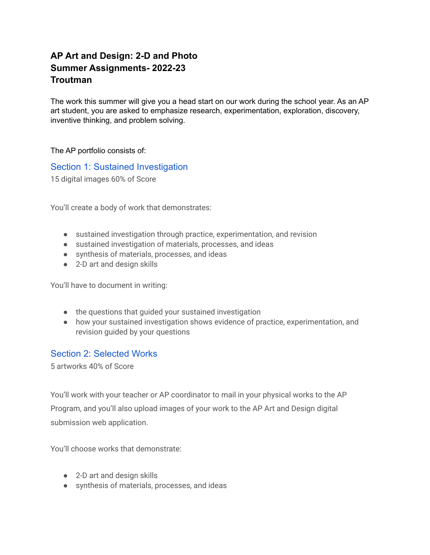# **AP Art and Design: 2-D and Photo Summer Assignments- 2022-23 Troutman**

The work this summer will give you a head start on our work during the school year. As an AP art student, you are asked to emphasize research, experimentation, exploration, discovery, inventive thinking, and problem solving.

The AP portfolio consists of:

Section 1: Sustained [Investigation](https://apstudents.collegeboard.org/courses/ap-2-d-art-and-design/assessment#cbCollapse_0)

15 digital images 60% of Score

You'll create a body of work that demonstrates:

- sustained investigation through practice, experimentation, and revision
- sustained investigation of materials, processes, and ideas
- synthesis of materials, processes, and ideas
- 2-D art and design skills

You'll have to document in writing:

- the questions that guided your sustained investigation
- how your sustained investigation shows evidence of practice, experimentation, and revision guided by your questions

# Section 2: [Selected](https://apstudents.collegeboard.org/courses/ap-2-d-art-and-design/assessment#cbCollapse_1) Works

5 artworks 40% of Score

You'll work with your teacher or AP coordinator to mail in your physical works to the AP Program, and you'll also upload images of your work to the AP Art and Design digital submission web application.

You'll choose works that demonstrate:

- 2-D art and design skills
- synthesis of materials, processes, and ideas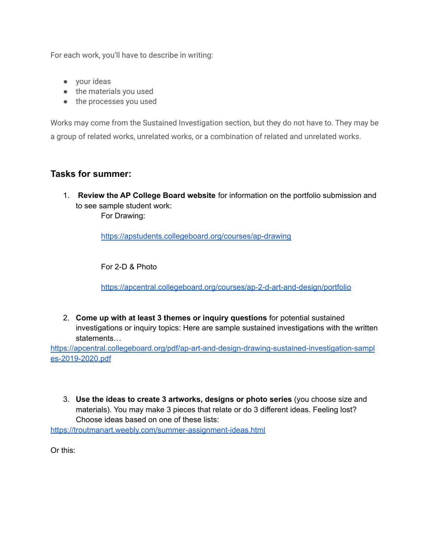For each work, you'll have to describe in writing:

- your ideas
- the materials you used
- the processes you used

Works may come from the Sustained Investigation section, but they do not have to. They may be a group of related works, unrelated works, or a combination of related and unrelated works.

# **Tasks for summer:**

1. **Review the AP College Board website** for information on the portfolio submission and to see sample student work: For Drawing:

<https://apstudents.collegeboard.org/courses/ap-drawing>

For 2-D & Photo

<https://apcentral.collegeboard.org/courses/ap-2-d-art-and-design/portfolio>

2. **Come up with at least 3 themes or inquiry questions** for potential sustained investigations or inquiry topics: Here are sample sustained investigations with the written statements…

[https://apcentral.collegeboard.org/pdf/ap-art-and-design-drawing-sustained-investigation-sampl](https://apcentral.collegeboard.org/pdf/ap-art-and-design-drawing-sustained-investigation-samples-2019-2020.pdf) [es-2019-2020.pdf](https://apcentral.collegeboard.org/pdf/ap-art-and-design-drawing-sustained-investigation-samples-2019-2020.pdf)

3. **Use the ideas to create 3 artworks, designs or photo series** (you choose size and materials). You may make 3 pieces that relate or do 3 different ideas. Feeling lost? Choose ideas based on one of these lists:

<https://troutmanart.weebly.com/summer-assignment-ideas.html>

Or this: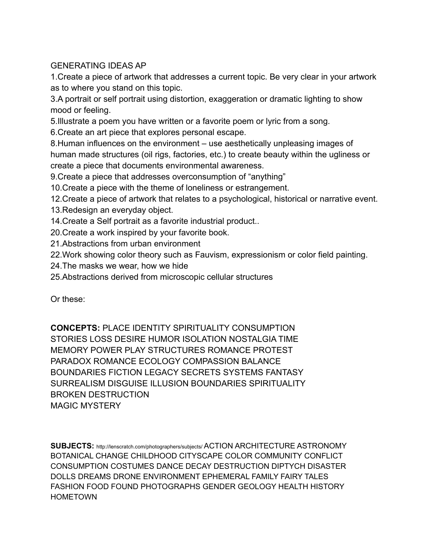# GENERATING IDEAS AP

1.Create a piece of artwork that addresses a current topic. Be very clear in your artwork as to where you stand on this topic.

3.A portrait or self portrait using distortion, exaggeration or dramatic lighting to show mood or feeling.

5.Illustrate a poem you have written or a favorite poem or lyric from a song.

6.Create an art piece that explores personal escape.

8.Human influences on the environment – use aesthetically unpleasing images of human made structures (oil rigs, factories, etc.) to create beauty within the ugliness or create a piece that documents environmental awareness.

9.Create a piece that addresses overconsumption of "anything"

10.Create a piece with the theme of loneliness or estrangement.

12.Create a piece of artwork that relates to a psychological, historical or narrative event.

- 13.Redesign an everyday object.
- 14.Create a Self portrait as a favorite industrial product..
- 20.Create a work inspired by your favorite book.
- 21.Abstractions from urban environment

22.Work showing color theory such as Fauvism, expressionism or color field painting.

24.The masks we wear, how we hide

25.Abstractions derived from microscopic cellular structures

Or these:

**CONCEPTS:** PLACE IDENTITY SPIRITUALITY CONSUMPTION STORIES LOSS DESIRE HUMOR ISOLATION NOSTALGIA TIME MEMORY POWER PLAY STRUCTURES ROMANCE PROTEST PARADOX ROMANCE ECOLOGY COMPASSION BALANCE BOUNDARIES FICTION LEGACY SECRETS SYSTEMS FANTASY SURREALISM DISGUISE ILLUSION BOUNDARIES SPIRITUALITY BROKEN DESTRUCTION MAGIC MYSTERY

**SUBJECTS:** http://lenscratch.com/photographers/subjects/ ACTION ARCHITECTURE ASTRONOMY BOTANICAL CHANGE CHILDHOOD CITYSCAPE COLOR COMMUNITY CONFLICT CONSUMPTION COSTUMES DANCE DECAY DESTRUCTION DIPTYCH DISASTER DOLLS DREAMS DRONE ENVIRONMENT EPHEMERAL FAMILY FAIRY TALES FASHION FOOD FOUND PHOTOGRAPHS GENDER GEOLOGY HEALTH HISTORY **HOMETOWN**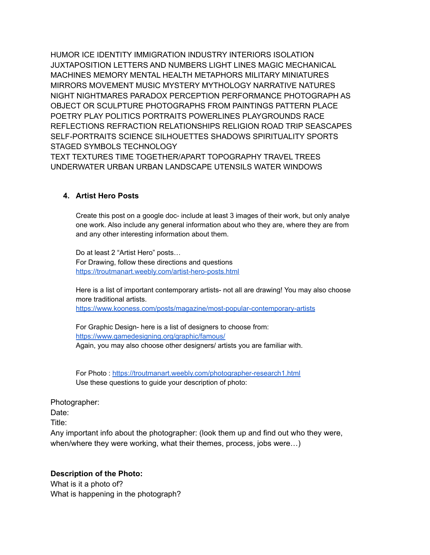HUMOR ICE IDENTITY IMMIGRATION INDUSTRY INTERIORS ISOLATION JUXTAPOSITION LETTERS AND NUMBERS LIGHT LINES MAGIC MECHANICAL MACHINES MEMORY MENTAL HEALTH METAPHORS MILITARY MINIATURES MIRRORS MOVEMENT MUSIC MYSTERY MYTHOLOGY NARRATIVE NATURES NIGHT NIGHTMARES PARADOX PERCEPTION PERFORMANCE PHOTOGRAPH AS OBJECT OR SCULPTURE PHOTOGRAPHS FROM PAINTINGS PATTERN PLACE POETRY PLAY POLITICS PORTRAITS POWERLINES PLAYGROUNDS RACE REFLECTIONS REFRACTION RELATIONSHIPS RELIGION ROAD TRIP SEASCAPES SELF-PORTRAITS SCIENCE SILHOUETTES SHADOWS SPIRITUALITY SPORTS STAGED SYMBOLS TECHNOLOGY

TEXT TEXTURES TIME TOGETHER/APART TOPOGRAPHY TRAVEL TREES UNDERWATER URBAN URBAN LANDSCAPE UTENSILS WATER WINDOWS

### **4. Artist Hero Posts**

Create this post on a google doc- include at least 3 images of their work, but only analye one work. Also include any general information about who they are, where they are from and any other interesting information about them.

Do at least 2 "Artist Hero" posts… For Drawing, follow these directions and questions <https://troutmanart.weebly.com/artist-hero-posts.html>

Here is a list of important contemporary artists- not all are drawing! You may also choose more traditional artists.

<https://www.kooness.com/posts/magazine/most-popular-contemporary-artists>

For Graphic Design- here is a list of designers to choose from: <https://www.gamedesigning.org/graphic/famous/> Again, you may also choose other designers/ artists you are familiar with.

For Photo : <https://troutmanart.weebly.com/photographer-research1.html> Use these questions to guide your description of photo:

Photographer:

Date:

Title:

Any important info about the photographer: (look them up and find out who they were, when/where they were working, what their themes, process, jobs were…)

### **Description of the Photo:**

What is it a photo of? What is happening in the photograph?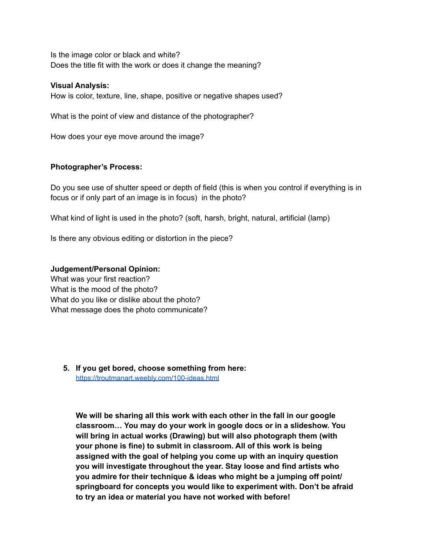Is the image color or black and white? Does the title fit with the work or does it change the meaning?

### **Visual Analysis:**

How is color, texture, line, shape, positive or negative shapes used?

What is the point of view and distance of the photographer?

How does your eye move around the image?

### **Photographer's Process:**

Do you see use of shutter speed or depth of field (this is when you control if everything is in focus or if only part of an image is in focus) in the photo?

What kind of light is used in the photo? (soft, harsh, bright, natural, artificial (lamp)

Is there any obvious editing or distortion in the piece?

### **Judgement/Personal Opinion:**

What was your first reaction? What is the mood of the photo? What do you like or dislike about the photo? What message does the photo communicate?

**5. If you get bored, choose something from here:** <https://troutmanart.weebly.com/100-ideas.html>

**We will be sharing all this work with each other in the fall in our google classroom… You may do your work in google docs or in a slideshow. You will bring in actual works (Drawing) but will also photograph them (with your phone is fine) to submit in classroom. All of this work is being assigned with the goal of helping you come up with an inquiry question you will investigate throughout the year. Stay loose and find artists who you admire for their technique & ideas who might be a jumping off point/ springboard for concepts you would like to experiment with. Don't be afraid to try an idea or material you have not worked with before!**